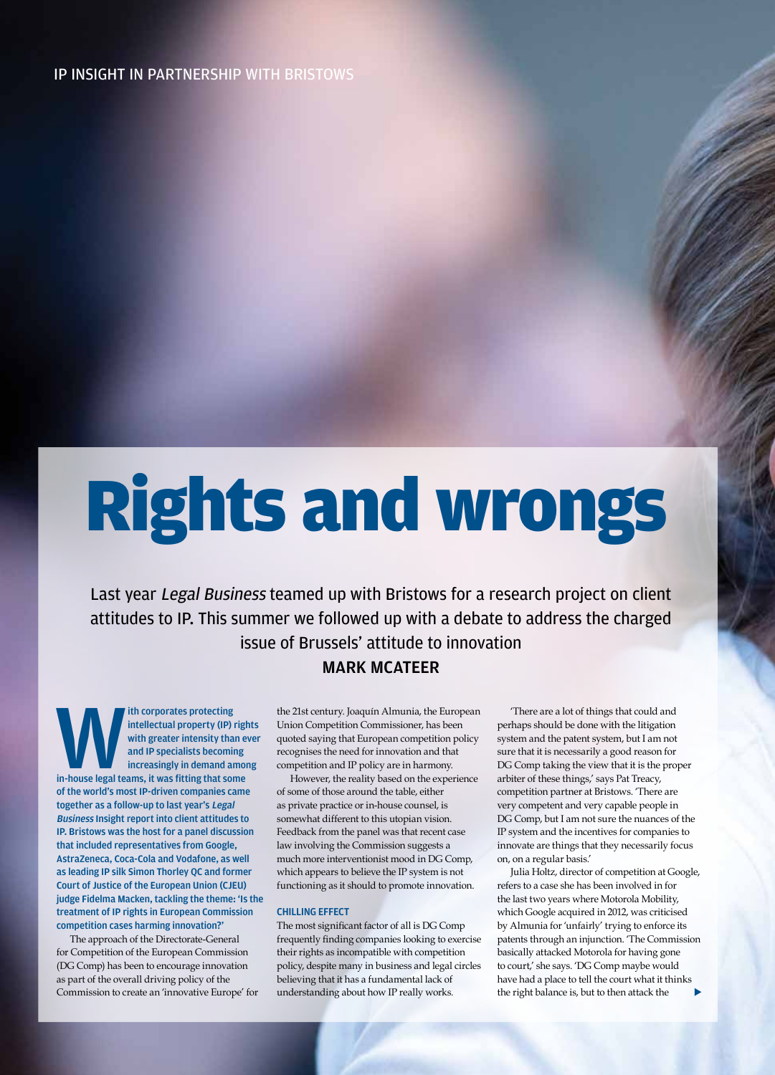### IP INSIGHT IN PARTNERSHIP WITH BRISTOWS

# Rights and wrongs

Last year Legal Business teamed up with Bristows for a research project on client attitudes to IP. This summer we followed up with a debate to address the charged issue of Brussels' attitude to innovation

# MARK MCATEER

ith corporates protecting<br>
intellectual property (IP) right<br>
with greater intensity than e<br>
and IP specialists becoming<br>
increasingly in demand amon<br>
in-house legal teams, it was fitting that some intellectual property (IP) rights with greater intensity than ever and IP specialists becoming increasingly in demand among of the world's most IP-driven companies came together as a follow-up to last year's Legal Business Insight report into client attitudes to IP. Bristows was the host for a panel discussion that included representatives from Google, AstraZeneca, Coca-Cola and Vodafone, as well as leading IP silk Simon Thorley QC and former Court of Justice of the European Union (CJEU) judge Fidelma Macken, tackling the theme: 'Is the treatment of IP rights in European Commission competition cases harming innovation?'

The approach of the Directorate-General for Competition of the European Commission (DG Comp) has been to encourage innovation as part of the overall driving policy of the Commission to create an 'innovative Europe' for the 21st century. Joaquín Almunia, the European Union Competition Commissioner, has been quoted saying that European competition policy recognises the need for innovation and that competition and IP policy are in harmony.

However, the reality based on the experience of some of those around the table, either as private practice or in-house counsel, is somewhat different to this utopian vision. Feedback from the panel was that recent case law involving the Commission suggests a much more interventionist mood in DG Comp, which appears to believe the IP system is not functioning as it should to promote innovation.

#### CHILLING EFFECT

The most significant factor of all is DG Comp frequently finding companies looking to exercise their rights as incompatible with competition policy, despite many in business and legal circles believing that it has a fundamental lack of understanding about how IP really works.

102 Legal Business September 2014 Photographs DANIEL THISTLETHWAITE

'There are a lot of things that could and perhaps should be done with the litigation system and the patent system, but I am not sure that it is necessarily a good reason for DG Comp taking the view that it is the proper arbiter of these things,' says Pat Treacy, competition partner at Bristows. 'There are very competent and very capable people in DG Comp, but I am not sure the nuances of the IP system and the incentives for companies to innovate are things that they necessarily focus on, on a regular basis.'

Julia Holtz, director of competition at Google, refers to a case she has been involved in for the last two years where Motorola Mobility, which Google acquired in 2012, was criticised by Almunia for 'unfairly' trying to enforce its patents through an injunction. 'The Commission basically attacked Motorola for having gone to court,' she says. 'DG Comp maybe would have had a place to tell the court what it thinks the right balance is, but to then attack the  $\blacktriangleright$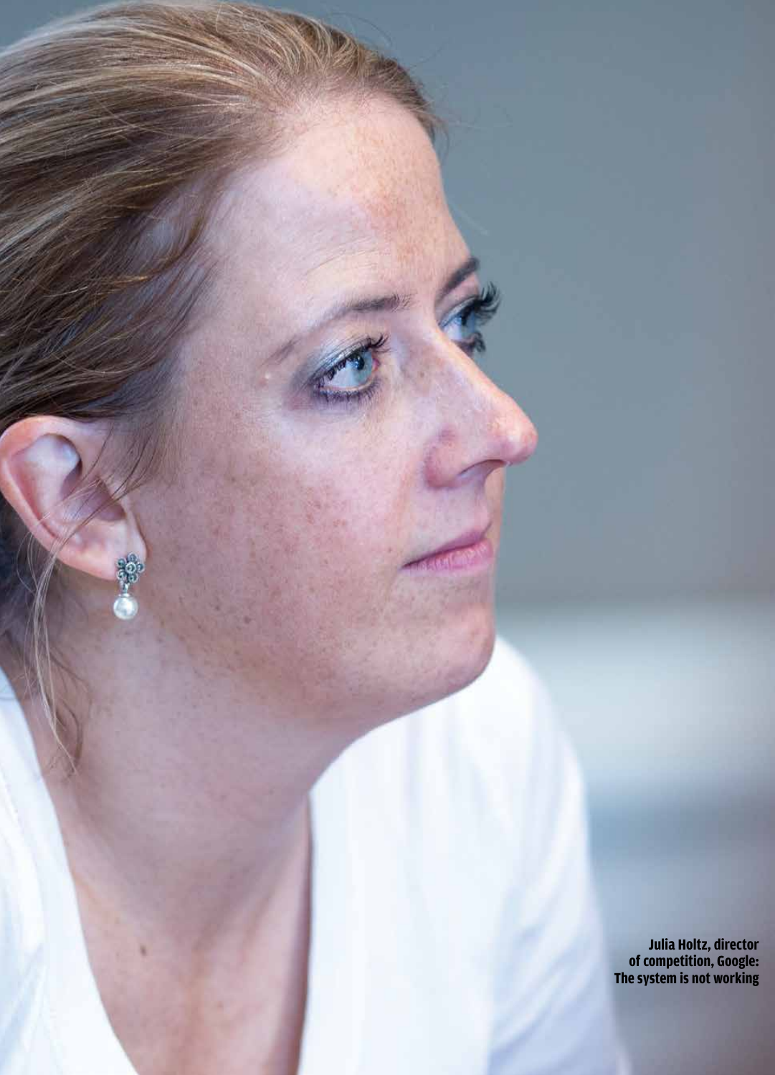**Julia Holtz, director of competition, Google: The system is not working**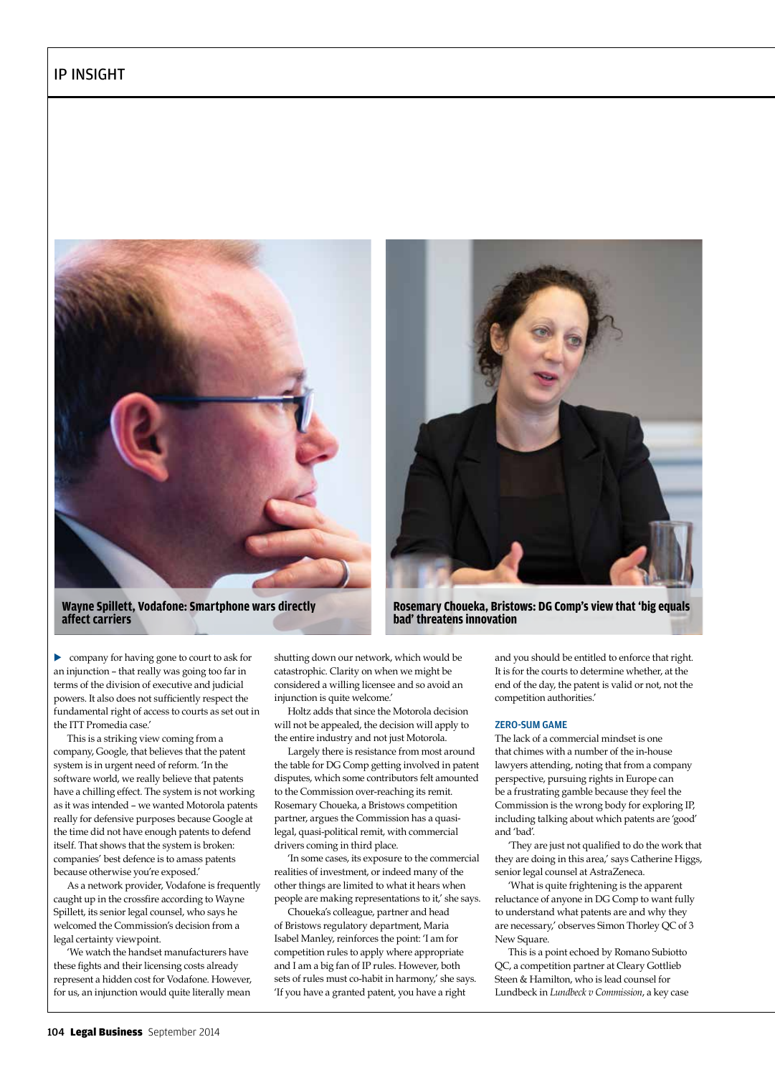



**Wayne Spillett, Vodafone: Smartphone wars directly affect carriers**

**Rosemary Choueka, Bristows: DG Comp's view that 'big equals bad' threatens innovation**

• company for having gone to court to ask for an injunction – that really was going too far in terms of the division of executive and judicial powers. It also does not sufficiently respect the fundamental right of access to courts as set out in the ITT Promedia case.'

This is a striking view coming from a company, Google, that believes that the patent system is in urgent need of reform. 'In the software world, we really believe that patents have a chilling effect. The system is not working as it was intended – we wanted Motorola patents really for defensive purposes because Google at the time did not have enough patents to defend itself. That shows that the system is broken: companies' best defence is to amass patents because otherwise you're exposed.'

As a network provider, Vodafone is frequently caught up in the crossfire according to Wayne Spillett, its senior legal counsel, who says he welcomed the Commission's decision from a legal certainty viewpoint.

'We watch the handset manufacturers have these fights and their licensing costs already represent a hidden cost for Vodafone. However, for us, an injunction would quite literally mean

shutting down our network, which would be catastrophic. Clarity on when we might be considered a willing licensee and so avoid an injunction is quite welcome.'

Holtz adds that since the Motorola decision will not be appealed, the decision will apply to the entire industry and not just Motorola.

Largely there is resistance from most around the table for DG Comp getting involved in patent disputes, which some contributors felt amounted to the Commission over-reaching its remit. Rosemary Choueka, a Bristows competition partner, argues the Commission has a quasilegal, quasi-political remit, with commercial drivers coming in third place.

'In some cases, its exposure to the commercial realities of investment, or indeed many of the other things are limited to what it hears when people are making representations to it,' she says.

Choueka's colleague, partner and head of Bristows regulatory department, Maria Isabel Manley, reinforces the point: 'I am for competition rules to apply where appropriate and I am a big fan of IP rules. However, both sets of rules must co-habit in harmony,' she says. 'If you have a granted patent, you have a right

and you should be entitled to enforce that right. It is for the courts to determine whether, at the end of the day, the patent is valid or not, not the competition authorities.'

#### ZERO-SUM GAME

The lack of a commercial mindset is one that chimes with a number of the in-house lawyers attending, noting that from a company perspective, pursuing rights in Europe can be a frustrating gamble because they feel the Commission is the wrong body for exploring IP, including talking about which patents are 'good' and 'bad'.

'They are just not qualified to do the work that they are doing in this area,' says Catherine Higgs, senior legal counsel at AstraZeneca.

'What is quite frightening is the apparent reluctance of anyone in DG Comp to want fully to understand what patents are and why they are necessary,' observes Simon Thorley QC of 3 New Square.

This is a point echoed by Romano Subiotto QC, a competition partner at Cleary Gottlieb Steen & Hamilton, who is lead counsel for Lundbeck in *Lundbeck v Commission*, a key case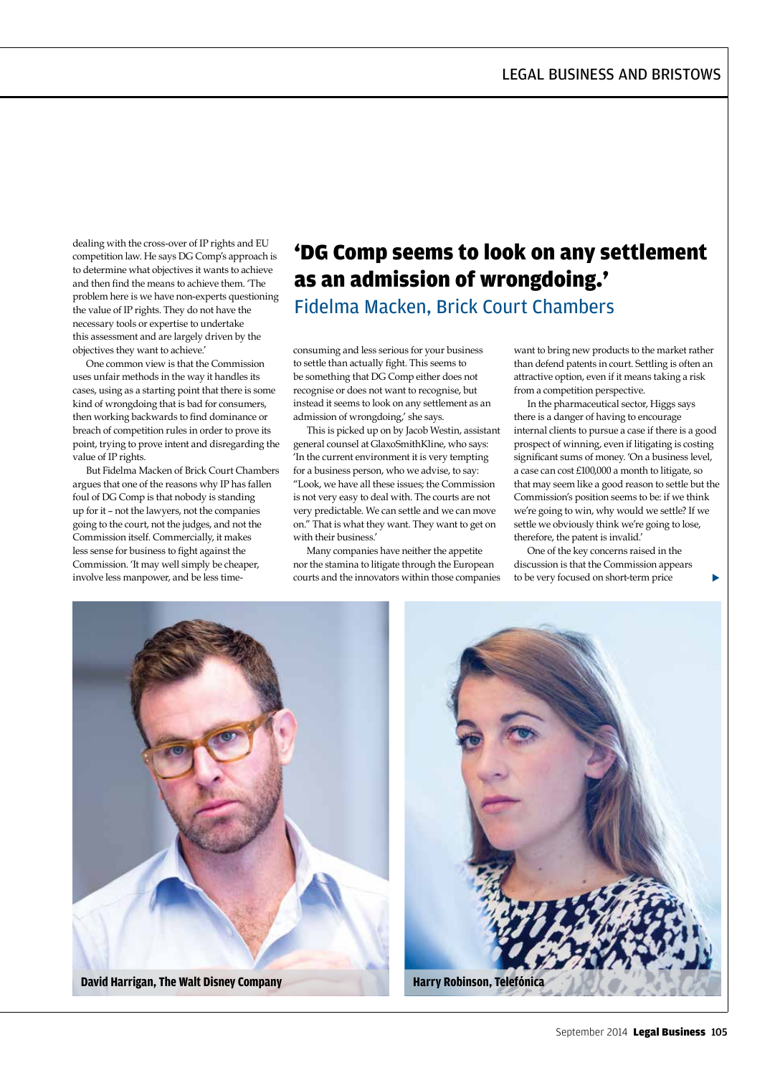dealing with the cross-over of IP rights and EU competition law. He says DG Comp's approach is to determine what objectives it wants to achieve and then find the means to achieve them. 'The problem here is we have non-experts questioning the value of IP rights. They do not have the necessary tools or expertise to undertake this assessment and are largely driven by the objectives they want to achieve.'

One common view is that the Commission uses unfair methods in the way it handles its cases, using as a starting point that there is some kind of wrongdoing that is bad for consumers, then working backwards to find dominance or breach of competition rules in order to prove its point, trying to prove intent and disregarding the value of IP rights.

But Fidelma Macken of Brick Court Chambers argues that one of the reasons why IP has fallen foul of DG Comp is that nobody is standing up for it – not the lawyers, not the companies going to the court, not the judges, and not the Commission itself. Commercially, it makes less sense for business to fight against the Commission. 'It may well simply be cheaper, involve less manpower, and be less time-

# 'DG Comp seems to look on any settlement as an admission of wrongdoing.' Fidelma Macken, Brick Court Chambers

consuming and less serious for your business to settle than actually fight. This seems to be something that DG Comp either does not recognise or does not want to recognise, but instead it seems to look on any settlement as an admission of wrongdoing,' she says.

This is picked up on by Jacob Westin, assistant general counsel at GlaxoSmithKline, who says: 'In the current environment it is very tempting for a business person, who we advise, to say: "Look, we have all these issues; the Commission is not very easy to deal with. The courts are not very predictable. We can settle and we can move on." That is what they want. They want to get on with their business.'

Many companies have neither the appetite nor the stamina to litigate through the European courts and the innovators within those companies want to bring new products to the market rather than defend patents in court. Settling is often an attractive option, even if it means taking a risk from a competition perspective.

In the pharmaceutical sector, Higgs says there is a danger of having to encourage internal clients to pursue a case if there is a good prospect of winning, even if litigating is costing significant sums of money. 'On a business level, a case can cost £100,000 a month to litigate, so that may seem like a good reason to settle but the Commission's position seems to be: if we think we're going to win, why would we settle? If we settle we obviously think we're going to lose, therefore, the patent is invalid.'

One of the key concerns raised in the discussion is that the Commission appears to be very focused on short-term price

 $\blacktriangleright$ 

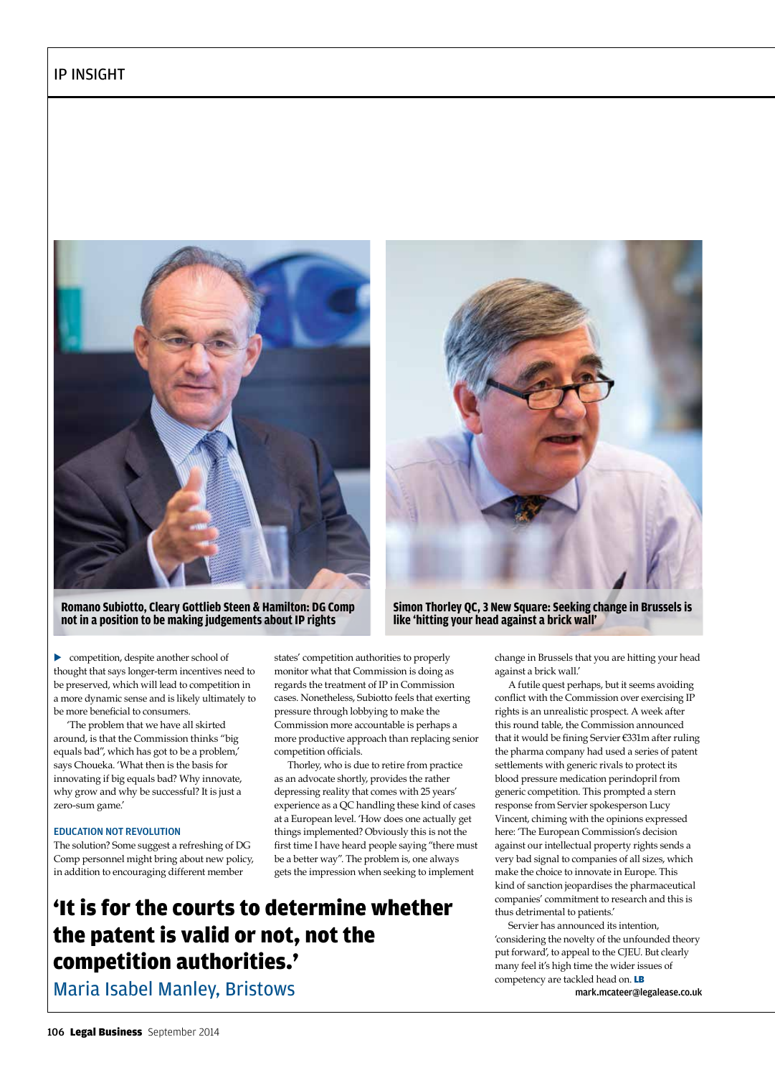

**Romano Subiotto, Cleary Gottlieb Steen & Hamilton: DG Comp not in a position to be making judgements about IP rights**



**Simon Thorley QC, 3 New Square: Seeking change in Brussels is like 'hitting your head against a brick wall'**

• competition, despite another school of thought that says longer-term incentives need to be preserved, which will lead to competition in a more dynamic sense and is likely ultimately to be more beneficial to consumers.

'The problem that we have all skirted around, is that the Commission thinks "big equals bad", which has got to be a problem,' says Choueka. 'What then is the basis for innovating if big equals bad? Why innovate, why grow and why be successful? It is just a zero-sum game.'

#### EDUCATION NOT REVOLUTION

The solution? Some suggest a refreshing of DG Comp personnel might bring about new policy, in addition to encouraging different member

states' competition authorities to properly monitor what that Commission is doing as regards the treatment of IP in Commission cases. Nonetheless, Subiotto feels that exerting pressure through lobbying to make the Commission more accountable is perhaps a more productive approach than replacing senior competition officials.

Thorley, who is due to retire from practice as an advocate shortly, provides the rather depressing reality that comes with 25 years' experience as a QC handling these kind of cases at a European level. 'How does one actually get things implemented? Obviously this is not the first time I have heard people saying "there must be a better way". The problem is, one always gets the impression when seeking to implement

'It is for the courts to determine whether the patent is valid or not, not the competition authorities.'

Maria Isabel Manley, Bristows

change in Brussels that you are hitting your head against a brick wall.'

A futile quest perhaps, but it seems avoiding conflict with the Commission over exercising IP rights is an unrealistic prospect. A week after this round table, the Commission announced that it would be fining Servier €331m after ruling the pharma company had used a series of patent settlements with generic rivals to protect its blood pressure medication perindopril from generic competition. This prompted a stern response from Servier spokesperson Lucy Vincent, chiming with the opinions expressed here: 'The European Commission's decision against our intellectual property rights sends a very bad signal to companies of all sizes, which make the choice to innovate in Europe. This kind of sanction jeopardises the pharmaceutical companies' commitment to research and this is thus detrimental to patients.'

Servier has announced its intention, 'considering the novelty of the unfounded theory put forward', to appeal to the CJEU. But clearly many feel it's high time the wider issues of competency are tackled head on. LB

mark.mcateer@legalease.co.uk